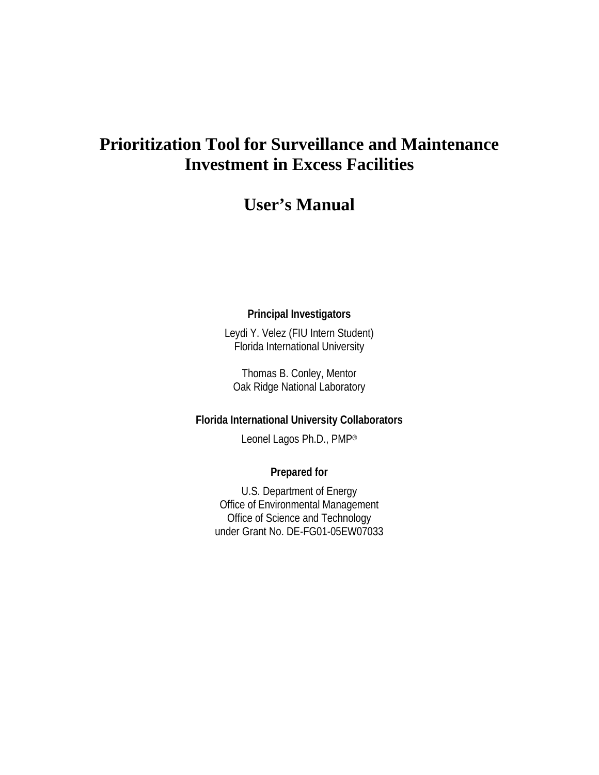# **Prioritization Tool for Surveillance and Maintenance Investment in Excess Facilities**

## **User's Manual**

### **Principal Investigators**

Leydi Y. Velez (FIU Intern Student) Florida International University

Thomas B. Conley, Mentor Oak Ridge National Laboratory

#### **Florida International University Collaborators**

Leonel Lagos Ph.D., PMP®

### **Prepared for**

U.S. Department of Energy Office of Environmental Management Office of Science and Technology under Grant No. DE-FG01-05EW07033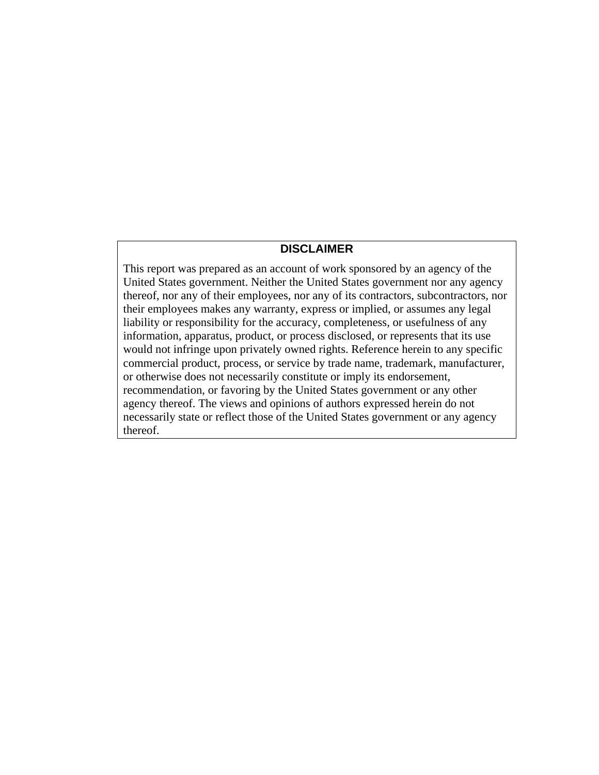#### **DISCLAIMER**

This report was prepared as an account of work sponsored by an agency of the United States government. Neither the United States government nor any agency thereof, nor any of their employees, nor any of its contractors, subcontractors, nor their employees makes any warranty, express or implied, or assumes any legal liability or responsibility for the accuracy, completeness, or usefulness of any information, apparatus, product, or process disclosed, or represents that its use would not infringe upon privately owned rights. Reference herein to any specific commercial product, process, or service by trade name, trademark, manufacturer, or otherwise does not necessarily constitute or imply its endorsement, recommendation, or favoring by the United States government or any other agency thereof. The views and opinions of authors expressed herein do not necessarily state or reflect those of the United States government or any agency thereof.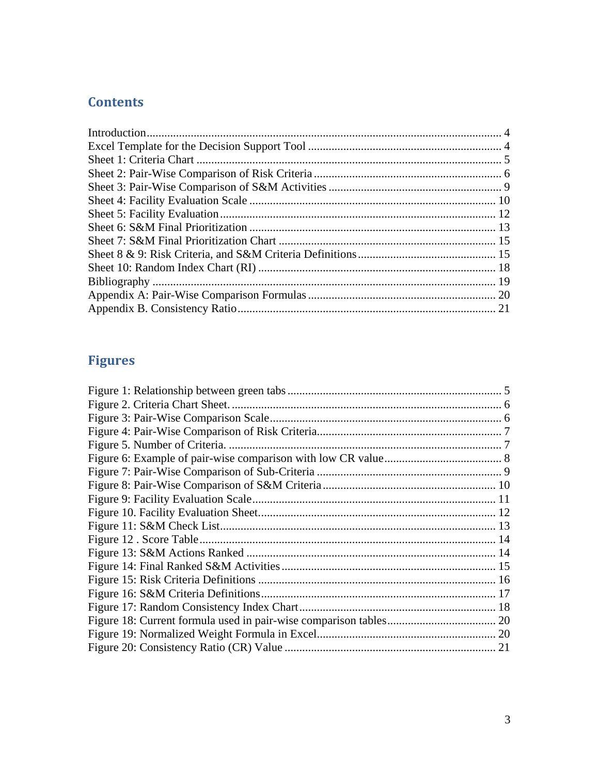### **Contents**

# **Figures**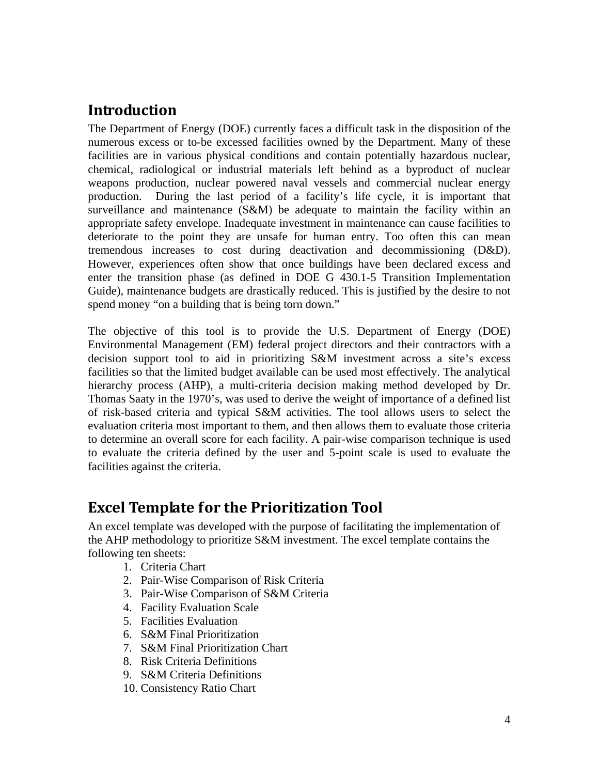## <span id="page-3-0"></span>**Introduction**

The Department of Energy (DOE) currently faces a difficult task in the disposition of the numerous excess or to-be excessed facilities owned by the Department. Many of these facilities are in various physical conditions and contain potentially hazardous nuclear, chemical, radiological or industrial materials left behind as a byproduct of nuclear weapons production, nuclear powered naval vessels and commercial nuclear energy production. During the last period of a facility's life cycle, it is important that surveillance and maintenance (S&M) be adequate to maintain the facility within an appropriate safety envelope. Inadequate investment in maintenance can cause facilities to deteriorate to the point they are unsafe for human entry. Too often this can mean tremendous increases to cost during deactivation and decommissioning (D&D). However, experiences often show that once buildings have been declared excess and enter the transition phase (as defined in DOE G 430.1-5 Transition Implementation Guide), maintenance budgets are drastically reduced. This is justified by the desire to not spend money "on a building that is being torn down."

The objective of this tool is to provide the U.S. Department of Energy (DOE) Environmental Management (EM) federal project directors and their contractors with a decision support tool to aid in prioritizing S&M investment across a site's excess facilities so that the limited budget available can be used most effectively. The analytical hierarchy process (AHP), a multi-criteria decision making method developed by Dr. Thomas Saaty in the 1970's, was used to derive the weight of importance of a defined list of risk-based criteria and typical S&M activities. The tool allows users to select the evaluation criteria most important to them, and then allows them to evaluate those criteria to determine an overall score for each facility. A pair-wise comparison technique is used to evaluate the criteria defined by the user and 5-point scale is used to evaluate the facilities against the criteria.

## <span id="page-3-1"></span>**Excel Template for the Prioritization Tool**

An excel template was developed with the purpose of facilitating the implementation of the AHP methodology to prioritize S&M investment. The excel template contains the following ten sheets:

- 1. Criteria Chart
- 2. Pair-Wise Comparison of Risk Criteria
- 3. Pair-Wise Comparison of S&M Criteria
- 4. Facility Evaluation Scale
- 5. Facilities Evaluation
- 6. S&M Final Prioritization
- 7. S&M Final Prioritization Chart
- 8. Risk Criteria Definitions
- 9. S&M Criteria Definitions
- 10. Consistency Ratio Chart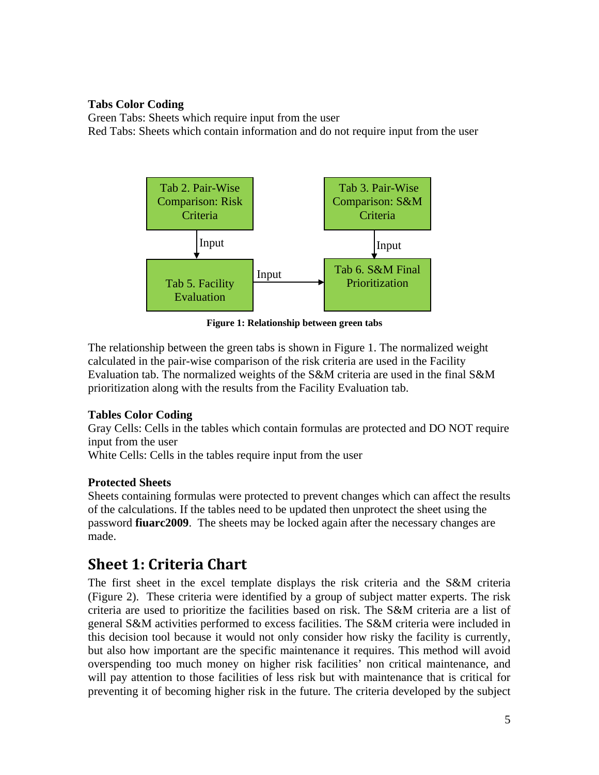### **Tabs Color Coding**

Green Tabs: Sheets which require input from the user Red Tabs: Sheets which contain information and do not require input from the user



**Figure 1: Relationship between green tabs**

The relationship between the green tabs is shown in Figure 1. The normalized weight calculated in the pair-wise comparison of the risk criteria are used in the Facility Evaluation tab. The normalized weights of the S&M criteria are used in the final S&M prioritization along with the results from the Facility Evaluation tab.

### **Tables Color Coding**

Gray Cells: Cells in the tables which contain formulas are protected and DO NOT require input from the user

White Cells: Cells in the tables require input from the user

### **Protected Sheets**

Sheets containing formulas were protected to prevent changes which can affect the results of the calculations. If the tables need to be updated then unprotect the sheet using the password **fiuarc2009**. The sheets may be locked again after the necessary changes are made.

# <span id="page-4-0"></span>**Sheet 1: Criteria Chart**

The first sheet in the excel template displays the risk criteria and the S&M criteria (Figure 2). These criteria were identified by a group of subject matter experts. The risk criteria are used to prioritize the facilities based on risk. The S&M criteria are a list of general S&M activities performed to excess facilities. The S&M criteria were included in this decision tool because it would not only consider how risky the facility is currently, but also how important are the specific maintenance it requires. This method will avoid overspending too much money on higher risk facilities' non critical maintenance, and will pay attention to those facilities of less risk but with maintenance that is critical for preventing it of becoming higher risk in the future. The criteria developed by the subject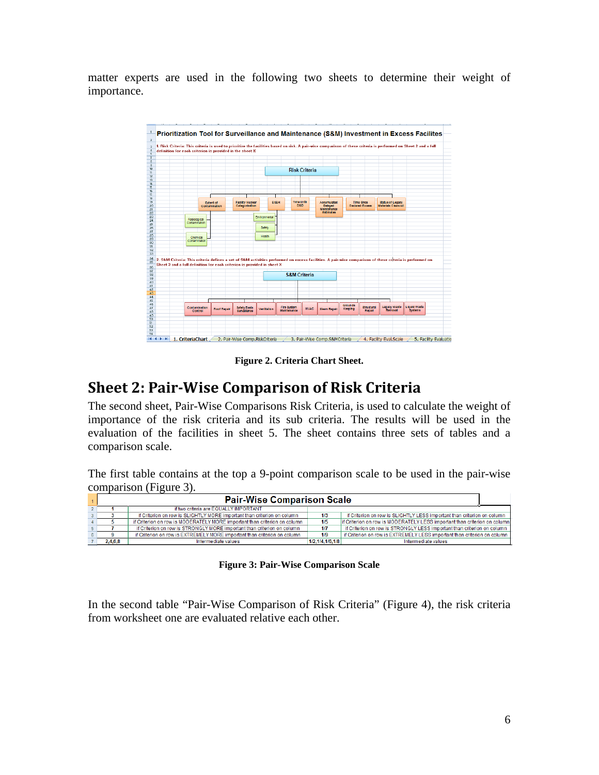matter experts are used in the following two sheets to determine their weight of importance.



**Figure 2. Criteria Chart Sheet.**

### <span id="page-5-1"></span><span id="page-5-0"></span>**Sheet 2: Pair-Wise Comparison of Risk Criteria**

The second sheet, Pair-Wise Comparisons Risk Criteria, is used to calculate the weight of importance of the risk criteria and its sub criteria. The results will be used in the evaluation of the facilities in sheet 5. The sheet contains three sets of tables and a comparison scale.

The first table contains at the top a 9-point comparison scale to be used in the pair-wise comparison (Figure 3).

| <b>Pair-Wise Comparison Scale</b>     |                                                                           |                 |                                                                            |  |  |  |  |  |  |  |  |  |
|---------------------------------------|---------------------------------------------------------------------------|-----------------|----------------------------------------------------------------------------|--|--|--|--|--|--|--|--|--|
| if two criteria are EQUALLY IMPORTANT |                                                                           |                 |                                                                            |  |  |  |  |  |  |  |  |  |
|                                       | if Criterion on row is SLIGHTLY MORE important than criterion on column   | 1/3             | if Criterion on row is SLIGHTLY LESS important than criterion on column    |  |  |  |  |  |  |  |  |  |
|                                       | if Criterion on row is MODERATELY MORE important than criterion on column | 1/5             | lif Criterion on row is MODERATELY LESS important than criterion on column |  |  |  |  |  |  |  |  |  |
|                                       | if Criterion on row is STRONGLY MORE important than criterion on column   | 1/7             | if Criterion on row is STRONGLY LESS important than criterion on column    |  |  |  |  |  |  |  |  |  |
|                                       | if Criterion on row is EXTREMELY MORE important than criterion on column  | 1/9             | if Criterion on row is EXTREMELY LESS important than criterion on column   |  |  |  |  |  |  |  |  |  |
| 2,4,6,8                               | Intermediate values                                                       | 1/2.1/4.1/6.1/8 | Intermediate values                                                        |  |  |  |  |  |  |  |  |  |

**Figure 3: Pair-Wise Comparison Scale**

<span id="page-5-2"></span>In the second table "Pair-Wise Comparison of Risk Criteria" (Figure 4), the risk criteria from worksheet one are evaluated relative each other.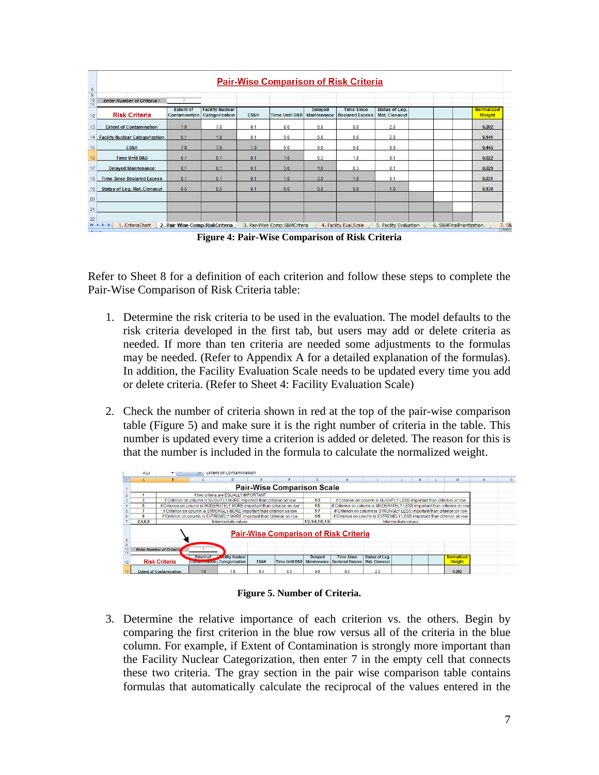|                                                                |                                                    | <b>Pair-Wise Comparison of Risk Criteria</b> |                                           |      |                               |                                      |                                             |                                               |  |                           |  |                             |  |  |  |  |
|----------------------------------------------------------------|----------------------------------------------------|----------------------------------------------|-------------------------------------------|------|-------------------------------|--------------------------------------|---------------------------------------------|-----------------------------------------------|--|---------------------------|--|-----------------------------|--|--|--|--|
| $\begin{array}{r} 8 \\ \hline 9 \\ \hline 10 \end{array}$<br>T | <b>Enter Number of Criteria:</b>                   |                                              |                                           |      |                               |                                      |                                             |                                               |  |                           |  |                             |  |  |  |  |
| 12                                                             | <b>Risk Criteria</b>                               | <b>Extent of</b><br><b>Contamination</b>     | <b>Facility Nuclear</b><br>Categorization | ES&H | <b>Time Until D&amp;D</b>     | <b>Delayed</b><br><b>Maintenance</b> | <b>Time Since</b><br><b>Declared Excess</b> | <b>Status of Leg.</b><br><b>Mat. Clenaout</b> |  |                           |  | Normalized<br><b>Weight</b> |  |  |  |  |
| 13                                                             | <b>Extent of Contamination</b>                     | 1.0                                          | 7.0                                       | 0.1  | 8.0                           | 9.0                                  | 8.0                                         | 2.0                                           |  |                           |  | 0.202                       |  |  |  |  |
| 14                                                             | <b>Facility Nuclear Categorization</b>             | 0.1                                          | 1.0                                       | 0.1  | 9.0                           | 9.0                                  | 9.0                                         | 2.0                                           |  |                           |  | 0.141                       |  |  |  |  |
| 15                                                             | ES&H                                               | 7.0                                          | 7.0                                       | 1.0  | 9.0                           | 9.0                                  | 9.0                                         | 9.0                                           |  |                           |  | 0.445                       |  |  |  |  |
| 16                                                             | <b>Time Until D&amp;D</b>                          | 0.1                                          | 0.1                                       | 0.1  | 1.0                           | 0.3                                  | 1.0                                         | 0.1                                           |  |                           |  | 0.022                       |  |  |  |  |
| 17                                                             | <b>Delayed Maintenance</b>                         | 0.1                                          | 0.1                                       | 0.1  | 3.0                           | 1.0                                  | 0.3                                         | 0.1                                           |  |                           |  | 0.029                       |  |  |  |  |
| 18                                                             | <b>Time Since Declared Excess</b>                  | 0.1                                          | 0.1                                       | 0.1  | 1.0                           | 3.0                                  | 1.0                                         | 0.1                                           |  |                           |  | 0.031                       |  |  |  |  |
| 19                                                             | <b>Status of Leg. Mat. Clenaout</b>                | 0.5                                          | 0.5                                       | 0.1  | 9.0                           | 9.0                                  | 9.0                                         | 1.0                                           |  |                           |  | 0.130                       |  |  |  |  |
| 20                                                             |                                                    |                                              |                                           |      |                               |                                      |                                             |                                               |  |                           |  |                             |  |  |  |  |
| 21                                                             |                                                    |                                              |                                           |      |                               |                                      |                                             |                                               |  |                           |  |                             |  |  |  |  |
| 22                                                             |                                                    |                                              |                                           |      |                               |                                      |                                             |                                               |  |                           |  |                             |  |  |  |  |
| $+$                                                            | 1. CriteriaChart<br>$\rightarrow$<br><b>Deadle</b> | 2. Pair-Wise Comp. RiskCriteria              |                                           |      | 3. Pair-Wise Comp.S&MCriteria |                                      | 4. Facility Eval.Scale                      | 5. Facility Evaluation                        |  | 6. S&MFinalPrioritization |  | $\frac{7.58}{1000}$         |  |  |  |  |

**Figure 4: Pair-Wise Comparison of Risk Criteria**

<span id="page-6-0"></span>Refer to Sheet 8 for a definition of each criterion and follow these steps to complete the Pair-Wise Comparison of Risk Criteria table:

- 1. Determine the risk criteria to be used in the evaluation. The model defaults to the risk criteria developed in the first tab, but users may add or delete criteria as needed. If more than ten criteria are needed some adjustments to the formulas may be needed. (Refer to Appendix A for a detailed explanation of the formulas). In addition, the Facility Evaluation Scale needs to be updated every time you add or delete criteria. (Refer to Sheet 4: Facility Evaluation Scale)
- 2. Check the number of criteria shown in red at the top of the pair-wise comparison table (Figure 5) and make sure it is the right number of criteria in the table. This number is updated every time a criterion is added or deleted. The reason for this is that the number is included in the formula to calculate the normalized weight.

|                      | A13     |                                                                  | $\mathbf{x}$                           | extent of contamination.                                                  |      |                                   |         |                                                                                     |                                                                         |  |  |  |                                    |  |  |
|----------------------|---------|------------------------------------------------------------------|----------------------------------------|---------------------------------------------------------------------------|------|-----------------------------------|---------|-------------------------------------------------------------------------------------|-------------------------------------------------------------------------|--|--|--|------------------------------------|--|--|
|                      |         |                                                                  |                                        |                                                                           |      |                                   |         |                                                                                     |                                                                         |  |  |  |                                    |  |  |
|                      |         |                                                                  |                                        |                                                                           |      | <b>Pair-Wise Comparison Scale</b> |         |                                                                                     |                                                                         |  |  |  |                                    |  |  |
|                      |         |                                                                  |                                        | if two criteria are EQUALLY IMPORTANT                                     |      |                                   |         |                                                                                     |                                                                         |  |  |  |                                    |  |  |
|                      |         |                                                                  |                                        | if Criterion on column is SLIGHTLY MORE important than criterion on row   |      |                                   | 1/3     |                                                                                     | if Criterion on column is SLIGHTLY LESS important than criterion on row |  |  |  |                                    |  |  |
|                      | 5.      |                                                                  |                                        | if Criterion on column is MODERATELY MORE important than criterion on row |      |                                   | 1/5     | if Criterion on column is MODERATELY LESS important than criterion on row           |                                                                         |  |  |  |                                    |  |  |
|                      |         |                                                                  |                                        | if Criterion on column is STRONGLY MORE important than criterion on row   |      |                                   | 1/7     | if Criterion on column is STRONGLY LESS important than criterion on row             |                                                                         |  |  |  |                                    |  |  |
|                      |         |                                                                  |                                        | if Criterion on column is EXTREMELY MORE important than criterion on row  |      |                                   | 1/9     | if Criterion on column is EXTREMELY LESS important than criterion on row            |                                                                         |  |  |  |                                    |  |  |
|                      | 2,4,6,8 | Intermediate values<br>1/2, 1/4, 1/6, 1/8<br>Intermediate values |                                        |                                                                           |      |                                   |         |                                                                                     |                                                                         |  |  |  |                                    |  |  |
|                      |         |                                                                  |                                        |                                                                           |      |                                   |         | <b>Pair-Wise Comparison of Risk Criteria</b>                                        |                                                                         |  |  |  |                                    |  |  |
| $\overline{9}$<br>10 |         | <b>Enter Number of Criterial</b>                                 |                                        |                                                                           |      |                                   |         |                                                                                     |                                                                         |  |  |  |                                    |  |  |
|                      |         | <b>Risk Criteria</b>                                             | <b>Extent of</b><br><b>Communition</b> | <b>Acility Nuclear</b><br>Categorization                                  | ES&H |                                   | Delayed | <b>Time Since</b><br>Time Until D&D   Maintenance   Declared Excess   Mat. Clenaout | <b>Status of Leg.</b>                                                   |  |  |  | <b>Normalized</b><br><b>Weight</b> |  |  |
|                      |         | <b>Extent of Contamination</b>                                   | 1.0                                    | 7.0                                                                       | 0.1  | 8.0                               | 9.0     | 8.0                                                                                 | 2.0                                                                     |  |  |  | 0.202                              |  |  |

**Figure 5. Number of Criteria.**

<span id="page-6-1"></span>3. Determine the relative importance of each criterion vs. the others. Begin by comparing the first criterion in the blue row versus all of the criteria in the blue column. For example, if Extent of Contamination is strongly more important than the Facility Nuclear Categorization, then enter 7 in the empty cell that connects these two criteria*.* The gray section in the pair wise comparison table contains formulas that automatically calculate the reciprocal of the values entered in the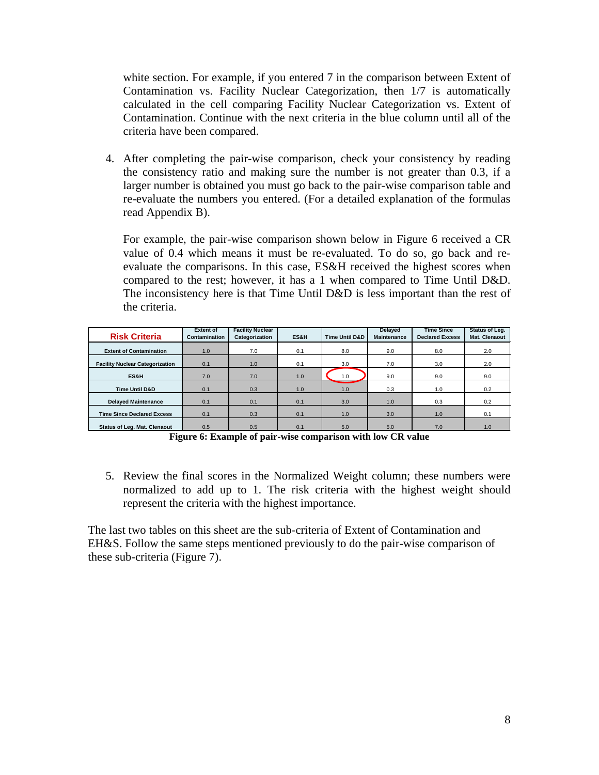white section. For example, if you entered 7 in the comparison between Extent of Contamination vs. Facility Nuclear Categorization, then 1/7 is automatically calculated in the cell comparing Facility Nuclear Categorization vs. Extent of Contamination. Continue with the next criteria in the blue column until all of the criteria have been compared.

4. After completing the pair-wise comparison, check your consistency by reading the consistency ratio and making sure the number is not greater than 0.3, if a larger number is obtained you must go back to the pair-wise comparison table and re-evaluate the numbers you entered. (For a detailed explanation of the formulas read Appendix B).

For example, the pair-wise comparison shown below in Figure 6 received a CR value of 0.4 which means it must be re-evaluated. To do so, go back and reevaluate the comparisons. In this case, ES&H received the highest scores when compared to the rest; however, it has a 1 when compared to Time Until D&D. The inconsistency here is that Time Until D&D is less important than the rest of the criteria.

| <b>Risk Criteria</b>                   | <b>Extent of</b><br>Contamination | <b>Facility Nuclear</b><br>Categorization | ES&H | <b>Time Until D&amp;D</b> | <b>Delayed</b><br>Maintenance | <b>Time Since</b><br><b>Declared Excess</b> | Status of Leg.<br>Mat. Clenaout |
|----------------------------------------|-----------------------------------|-------------------------------------------|------|---------------------------|-------------------------------|---------------------------------------------|---------------------------------|
| <b>Extent of Contamination</b>         | 1.0                               | 7.0                                       | 0.1  | 8.0                       | 9.0                           | 8.0                                         | 2.0                             |
| <b>Facility Nuclear Categorization</b> | 0.1                               | 1.0                                       | 0.1  | 3.0                       | 7.0                           | 3.0                                         | 2.0                             |
| ES&H                                   | 7.0                               | 7.0                                       | 1.0  | 1.0                       | 9.0                           | 9.0                                         | 9.0                             |
| <b>Time Until D&amp;D</b>              | 0.1                               | 0.3                                       | 1.0  | 1.0                       | 0.3                           | 1.0                                         | 0.2                             |
| <b>Delaved Maintenance</b>             | 0.1                               | 0.1                                       | 0.1  | 3.0                       | 1.0                           | 0.3                                         | 0.2                             |
| <b>Time Since Declared Excess</b>      | 0.1                               | 0.3                                       | 0.1  | 1.0                       | 3.0                           | 1.0                                         | 0.1                             |
| <b>Status of Leg. Mat. Clenaout</b>    | 0.5                               | 0.5                                       | 0.1  | 5.0                       | 5.0                           | 7.0                                         | 1.0                             |

**Figure 6: Example of pair-wise comparison with low CR value**

<span id="page-7-0"></span>5. Review the final scores in the Normalized Weight column; these numbers were normalized to add up to 1. The risk criteria with the highest weight should represent the criteria with the highest importance.

The last two tables on this sheet are the sub-criteria of Extent of Contamination and EH&S. Follow the same steps mentioned previously to do the pair-wise comparison of these sub-criteria (Figure 7).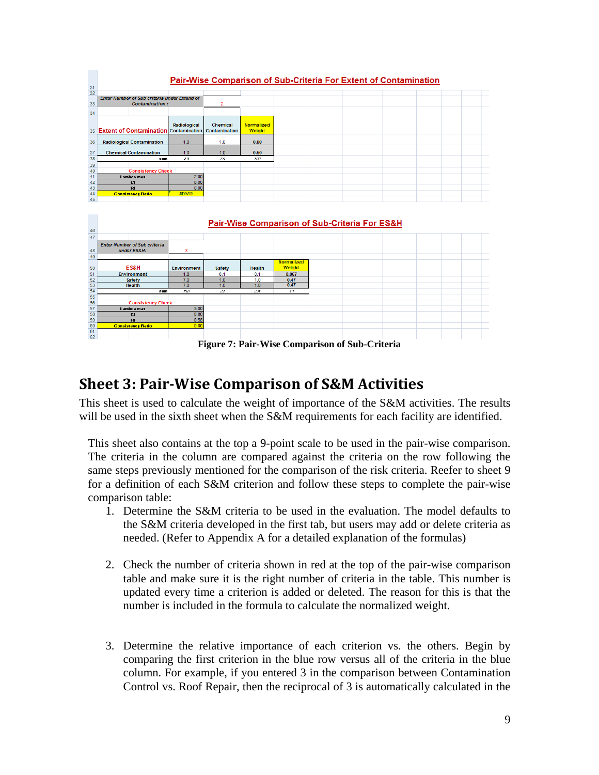|     |                                                                                                                                        |                                                                                                                                                                          | <b>Normalized</b>                                                                                                  |
|-----|----------------------------------------------------------------------------------------------------------------------------------------|--------------------------------------------------------------------------------------------------------------------------------------------------------------------------|--------------------------------------------------------------------------------------------------------------------|
|     |                                                                                                                                        |                                                                                                                                                                          | Weight                                                                                                             |
|     |                                                                                                                                        |                                                                                                                                                                          | 0.50                                                                                                               |
|     |                                                                                                                                        |                                                                                                                                                                          |                                                                                                                    |
|     | 1.0                                                                                                                                    | 1.0                                                                                                                                                                      | 0.50                                                                                                               |
| sum | 20                                                                                                                                     | 20                                                                                                                                                                       | 100                                                                                                                |
|     |                                                                                                                                        |                                                                                                                                                                          |                                                                                                                    |
|     |                                                                                                                                        |                                                                                                                                                                          |                                                                                                                    |
|     | 2.00                                                                                                                                   |                                                                                                                                                                          |                                                                                                                    |
|     | 0.00                                                                                                                                   |                                                                                                                                                                          |                                                                                                                    |
|     | 0.00                                                                                                                                   |                                                                                                                                                                          |                                                                                                                    |
|     | #DIV/0!                                                                                                                                |                                                                                                                                                                          |                                                                                                                    |
|     |                                                                                                                                        |                                                                                                                                                                          |                                                                                                                    |
|     |                                                                                                                                        |                                                                                                                                                                          |                                                                                                                    |
|     |                                                                                                                                        |                                                                                                                                                                          |                                                                                                                    |
|     |                                                                                                                                        |                                                                                                                                                                          |                                                                                                                    |
|     |                                                                                                                                        | <b>Pair-Wise Comparison of Sub-Criteria For ES&amp;H</b>                                                                                                                 |                                                                                                                    |
|     | <b>Radiological Contamination</b><br><b>Chemical Contamination</b><br>Lambda max<br><b>CI</b><br><b>BL</b><br><b>Consistency Ratio</b> | Enter Number of Sub criteria under Extend of<br><b>Contamination:</b><br>Radiological<br><b>Extent of Contamination Contamination</b><br>1.0<br><b>Consistency Check</b> | <b>Pair-Wise Comparison of Sub-Criteria For Extent of Contamination</b><br><b>Chemical</b><br>Contamination<br>1.0 |



**Figure 7: Pair-Wise Comparison of Sub-Criteria**

# <span id="page-8-1"></span><span id="page-8-0"></span>**Sheet 3: Pair-Wise Comparison of S&M Activities**

This sheet is used to calculate the weight of importance of the S&M activities. The results will be used in the sixth sheet when the S&M requirements for each facility are identified.

This sheet also contains at the top a 9-point scale to be used in the pair-wise comparison. The criteria in the column are compared against the criteria on the row following the same steps previously mentioned for the comparison of the risk criteria. Reefer to sheet 9 for a definition of each S&M criterion and follow these steps to complete the pair-wise comparison table:

- 1. Determine the S&M criteria to be used in the evaluation. The model defaults to the S&M criteria developed in the first tab, but users may add or delete criteria as needed. (Refer to Appendix A for a detailed explanation of the formulas)
- 2. Check the number of criteria shown in red at the top of the pair-wise comparison table and make sure it is the right number of criteria in the table. This number is updated every time a criterion is added or deleted. The reason for this is that the number is included in the formula to calculate the normalized weight.
- 3. Determine the relative importance of each criterion vs. the others. Begin by comparing the first criterion in the blue row versus all of the criteria in the blue column. For example, if you entered 3 in the comparison between Contamination Control vs. Roof Repair, then the reciprocal of 3 is automatically calculated in the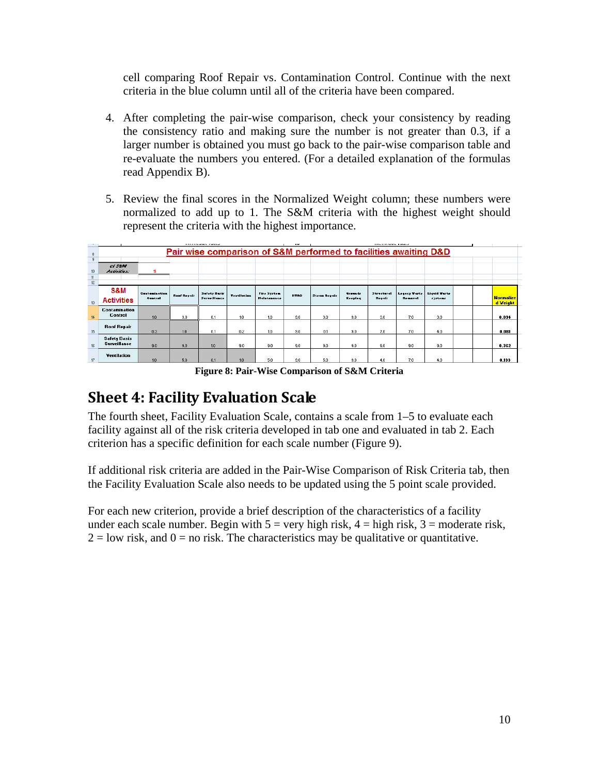cell comparing Roof Repair vs. Contamination Control. Continue with the next criteria in the blue column until all of the criteria have been compared.

- 4. After completing the pair-wise comparison, check your consistency by reading the consistency ratio and making sure the number is not greater than 0.3, if a larger number is obtained you must go back to the pair-wise comparison table and re-evaluate the numbers you entered. (For a detailed explanation of the formulas read Appendix B).
- 5. Review the final scores in the Normalized Weight column; these numbers were normalized to add up to 1. The S&M criteria with the highest weight should represent the criteria with the highest importance.

|                     |                                            |               |                    | <b>REPORT FOR SERVICE CONTRACT</b> |                    |                                                                  | $\cdot$     |                     |         |            |                |                  |  |                              |
|---------------------|--------------------------------------------|---------------|--------------------|------------------------------------|--------------------|------------------------------------------------------------------|-------------|---------------------|---------|------------|----------------|------------------|--|------------------------------|
| 8<br>$\overline{3}$ |                                            |               |                    |                                    |                    | Pair wise comparison of S&M performed to facilities awaiting D&D |             |                     |         |            |                |                  |  |                              |
|                     | of Sant                                    |               |                    |                                    |                    |                                                                  |             |                     |         |            |                |                  |  |                              |
| 10                  | Activities:                                |               |                    |                                    |                    |                                                                  |             |                     |         |            |                |                  |  |                              |
| 11                  |                                            |               |                    |                                    |                    |                                                                  |             |                     |         |            |                |                  |  |                              |
| 12                  |                                            |               |                    |                                    |                    |                                                                  |             |                     |         |            |                |                  |  |                              |
|                     | S&M                                        | Contemination | <b>Boof Beegin</b> | Safety Barir                       | <b>Teatileties</b> | Fire System                                                      | <b>HYAC</b> | <b>Steen Beegir</b> | Grassde | Structural | Louisvillento  | Lissid Warte     |  |                              |
| 13                  | <b>Activities</b>                          | Control       |                    | Surveillance                       |                    | <b>Heintenence</b>                                               |             |                     | Keeping | Beesin     | <b>Benevel</b> | <b>STATISTIC</b> |  | <b>Normalize</b><br>d Veight |
| 14                  | Contamination<br>Control                   | 1.0           | 3.0                | 0.1                                | 1.0                | 1.0                                                              | 9.0         | 3.0                 | 9.0     | 3.0        | 7.0            | 3.0              |  | 0.094                        |
| 15                  | <b>Roof Repair</b>                         | 0.3           | 10                 | 0.1                                | 0.2                | 1.0                                                              | 9.0         | 0.1                 | 9.0     | 7.0        | 7.0            | 4.0              |  | 0.081                        |
| 16                  | <b>Safety Basis</b><br><b>Surveillance</b> | 9.0           | 9.0                | 1.0                                | 9.0                | 9.0                                                              | 9.0         | 9.0                 | 9.0     | 9.0        | 9.0            | 9.0              |  | 0.362                        |
| 17                  | <b>Yentilation</b>                         | 1.0           | 5.0                | 0.1                                | 1.0                | 5.0                                                              | 9.0         | 5.0                 | 9.0     | 4.0        | 7.0            | 4.0              |  | 0.133                        |

**Figure 8: Pair-Wise Comparison of S&M Criteria**

## <span id="page-9-1"></span><span id="page-9-0"></span>**Sheet 4: Facility Evaluation Scale**

The fourth sheet, Facility Evaluation Scale, contains a scale from 1–5 to evaluate each facility against all of the risk criteria developed in tab one and evaluated in tab 2. Each criterion has a specific definition for each scale number (Figure 9).

If additional risk criteria are added in the Pair-Wise Comparison of Risk Criteria tab, then the Facility Evaluation Scale also needs to be updated using the 5 point scale provided.

For each new criterion, provide a brief description of the characteristics of a facility under each scale number. Begin with  $5 = \text{very high risk}, 4 = \text{high risk}, 3 = \text{moderate risk},$  $2 =$ low risk, and  $0 =$  no risk. The characteristics may be qualitative or quantitative.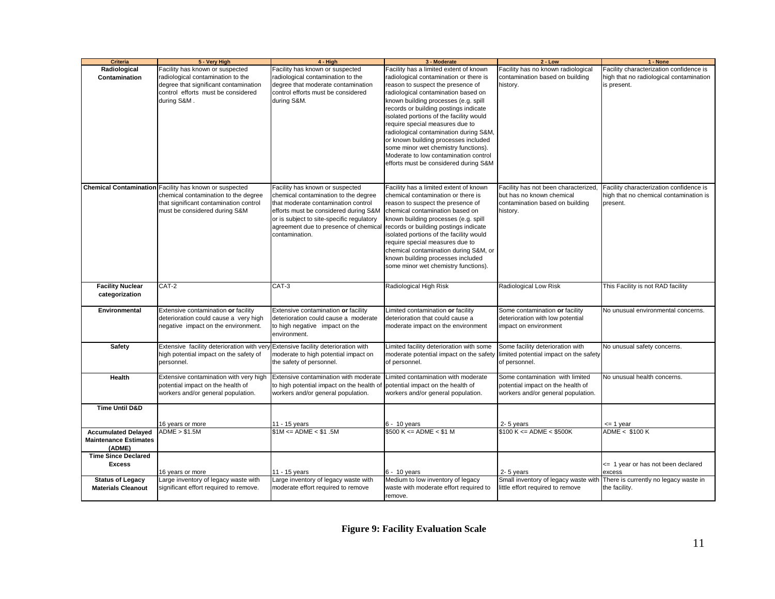| <b>Criteria</b>              | 5 - Very High                                                 | $4 - High$                                | 3 - Moderate                                                                   | $2 - Low$                            | 1 - None                                |
|------------------------------|---------------------------------------------------------------|-------------------------------------------|--------------------------------------------------------------------------------|--------------------------------------|-----------------------------------------|
| Radiological                 | Facility has known or suspected                               | Facility has known or suspected           | Facility has a limited extent of known                                         | Facility has no known radiological   | Facility characterization confidence is |
| Contamination                | radiological contamination to the                             | radiological contamination to the         | radiological contamination or there is                                         | contamination based on building      | high that no radiological contamination |
|                              | degree that significant contamination                         | degree that moderate contamination        | reason to suspect the presence of                                              | history.                             | is present.                             |
|                              | control efforts must be considered                            | control efforts must be considered        | radiological contamination based on                                            |                                      |                                         |
|                              | during S&M.                                                   | during S&M.                               | known building processes (e.g. spill                                           |                                      |                                         |
|                              |                                                               |                                           | records or building postings indicate                                          |                                      |                                         |
|                              |                                                               |                                           | isolated portions of the facility would                                        |                                      |                                         |
|                              |                                                               |                                           | require special measures due to                                                |                                      |                                         |
|                              |                                                               |                                           | radiological contamination during S&M,                                         |                                      |                                         |
|                              |                                                               |                                           | or known building processes included                                           |                                      |                                         |
|                              |                                                               |                                           | some minor wet chemistry functions).                                           |                                      |                                         |
|                              |                                                               |                                           | Moderate to low contamination control                                          |                                      |                                         |
|                              |                                                               |                                           | efforts must be considered during S&M                                          |                                      |                                         |
|                              |                                                               |                                           |                                                                                |                                      |                                         |
|                              |                                                               |                                           |                                                                                |                                      |                                         |
|                              | <b>Chemical Contamination</b> Facility has known or suspected | Facility has known or suspected           | Facility has a limited extent of known                                         | Facility has not been characterized, | Facility characterization confidence is |
|                              | chemical contamination to the degree                          | chemical contamination to the degree      | chemical contamination or there is                                             | but has no known chemical            | high that no chemical contamination is  |
|                              | that significant contamination control                        | that moderate contamination control       | reason to suspect the presence of                                              | contamination based on building      | present.                                |
|                              | must be considered during S&M                                 | efforts must be considered during S&M     | chemical contamination based on                                                | history.                             |                                         |
|                              |                                                               | or is subject to site-specific regulatory | known building processes (e.g. spill                                           |                                      |                                         |
|                              |                                                               | agreement due to presence of chemica      | records or building postings indicate                                          |                                      |                                         |
|                              |                                                               | contamination.                            | isolated portions of the facility would                                        |                                      |                                         |
|                              |                                                               |                                           | require special measures due to                                                |                                      |                                         |
|                              |                                                               |                                           | chemical contamination during S&M, or                                          |                                      |                                         |
|                              |                                                               |                                           | known building processes included                                              |                                      |                                         |
|                              |                                                               |                                           | some minor wet chemistry functions).                                           |                                      |                                         |
|                              |                                                               |                                           |                                                                                |                                      |                                         |
| <b>Facility Nuclear</b>      | CAT-2                                                         | CAT-3                                     | Radiological High Risk                                                         | Radiological Low Risk                | This Facility is not RAD facility       |
| categorization               |                                                               |                                           |                                                                                |                                      |                                         |
|                              |                                                               |                                           |                                                                                |                                      |                                         |
| Environmental                | Extensive contamination or facility                           | Extensive contamination or facility       | Limited contamination or facility                                              | Some contamination or facility       | No unusual environmental concerns.      |
|                              | deterioration could cause a very high                         | deterioration could cause a moderate      | deterioration that could cause a                                               | deterioration with low potential     |                                         |
|                              | negative impact on the environment.                           | to high negative impact on the            | moderate impact on the environment                                             | impact on environment                |                                         |
|                              |                                                               | environment.                              |                                                                                |                                      |                                         |
|                              |                                                               |                                           |                                                                                |                                      |                                         |
| <b>Safety</b>                | Extensive facility deterioration with very                    | Extensive facility deterioration with     | Limited facility deterioration with some                                       | Some facility deterioration with     | No unusual safety concerns.             |
|                              | high potential impact on the safety of                        | moderate to high potential impact on      | moderate potential impact on the safety limited potential impact on the safety |                                      |                                         |
|                              | personnel.                                                    | the safety of personnel.                  | of personnel.                                                                  | of personnel.                        |                                         |
| Health                       | Extensive contamination with very high                        | Extensive contamination with moderate     | Limited contamination with moderate                                            | Some contamination with limited      | No unusual health concerns.             |
|                              | potential impact on the health of                             | to high potential impact on the health of | potential impact on the health of                                              | potential impact on the health of    |                                         |
|                              | workers and/or general population.                            | workers and/or general population.        | workers and/or general population.                                             | workers and/or general population.   |                                         |
|                              |                                                               |                                           |                                                                                |                                      |                                         |
| <b>Time Until D&amp;D</b>    |                                                               |                                           |                                                                                |                                      |                                         |
|                              |                                                               |                                           |                                                                                |                                      |                                         |
|                              | 16 years or more                                              | 1 - 15 years                              | 6 - 10 years                                                                   | 2-5 years                            | <= 1 year                               |
| <b>Accumulated Delayed</b>   | ADME > \$1.5M                                                 | $$1M \leq ADME < $1.5M$$                  | $$500 K \leq ADME \leq $1 M$                                                   | $$100 K \leq ADME \leq $500K$        | ADME < \$100 K                          |
| <b>Maintenance Estimates</b> |                                                               |                                           |                                                                                |                                      |                                         |
| (ADME)                       |                                                               |                                           |                                                                                |                                      |                                         |
| <b>Time Since Declared</b>   |                                                               |                                           |                                                                                |                                      |                                         |
| <b>Excess</b>                |                                                               |                                           |                                                                                |                                      | <= 1 year or has not been declared      |
|                              | 16 years or more                                              | 11 - 15 years                             | $6 - 10$ years                                                                 | 2-5 years                            | excess                                  |
| <b>Status of Legacy</b>      | Large inventory of legacy waste with                          | Large inventory of legacy waste with      | Medium to low inventory of legacy                                              | Small inventory of legacy waste with | There is currently no legacy waste in   |
| <b>Materials Cleanout</b>    | significant effort required to remove.                        | moderate effort required to remove        | waste with moderate effort required to                                         | little effort required to remove     | the facility.                           |
|                              |                                                               |                                           | remove.                                                                        |                                      |                                         |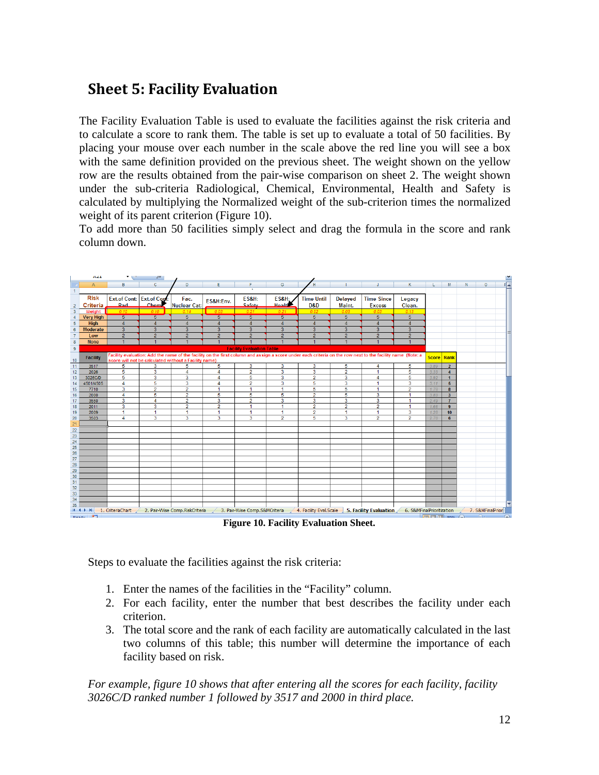# <span id="page-11-0"></span>**Sheet 5: Facility Evaluation**

The Facility Evaluation Table is used to evaluate the facilities against the risk criteria and to calculate a score to rank them. The table is set up to evaluate a total of 50 facilities. By placing your mouse over each number in the scale above the red line you will see a box with the same definition provided on the previous sheet. The weight shown on the yellow row are the results obtained from the pair-wise comparison on sheet 2. The weight shown under the sub-criteria Radiological, Chemical, Environmental, Health and Safety is calculated by multiplying the Normalized weight of the sub-criterion times the normalized weight of its parent criterion (Figure 10).

To add more than 50 facilities simply select and drag the formula in the score and rank column down.



**Figure 10. Facility Evaluation Sheet.**

<span id="page-11-1"></span>Steps to evaluate the facilities against the risk criteria:

- 1. Enter the names of the facilities in the "Facility" column.
- 2. For each facility, enter the number that best describes the facility under each criterion.
- 3. The total score and the rank of each facility are automatically calculated in the last two columns of this table; this number will determine the importance of each facility based on risk.

*For example, figure 10 shows that after entering all the scores for each facility, facility 3026C/D ranked number 1 followed by 3517 and 2000 in third place.*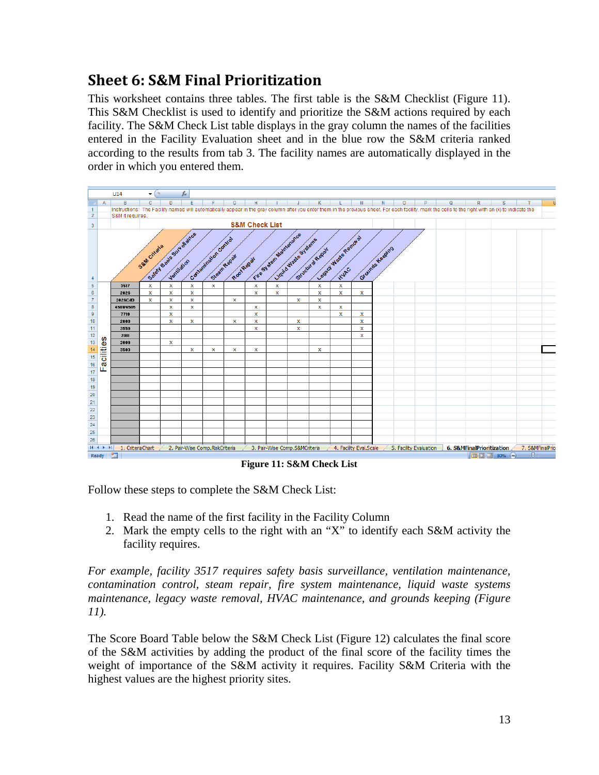# **Sheet 6: S&M Final Prioritization**

<span id="page-12-0"></span>This worksheet contains three tables. The first table is the S&M Checklist (Figure 11). This S&M Checklist is used to identify and prioritize the S&M actions required by each facility. The S&M Check List table displays in the gray column the names of the facilities entered in the Facility Evaluation sheet and in the blue row the S&M criteria ranked according to the results from tab 3. The facility names are automatically displayed in the order in which you entered them.



**Figure 11: S&M Check List**

<span id="page-12-1"></span>Follow these steps to complete the S&M Check List:

- 1. Read the name of the first facility in the Facility Column
- 2. Mark the empty cells to the right with an "X" to identify each S&M activity the facility requires.

*For example, facility 3517 requires safety basis surveillance, ventilation maintenance, contamination control, steam repair, fire system maintenance, liquid waste systems maintenance, legacy waste removal, HVAC maintenance, and grounds keeping (Figure 11).*

The Score Board Table below the S&M Check List (Figure 12) calculates the final score of the S&M activities by adding the product of the final score of the facility times the weight of importance of the S&M activity it requires. Facility S&M Criteria with the highest values are the highest priority sites.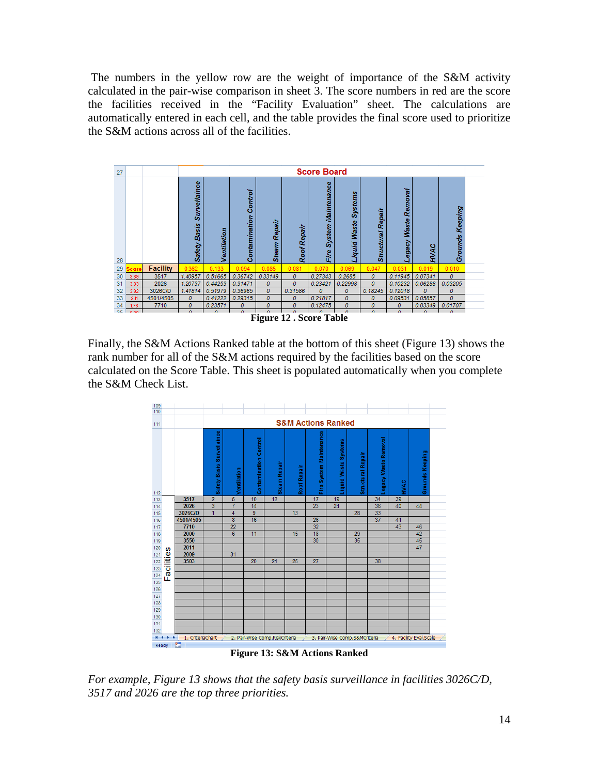The numbers in the yellow row are the weight of importance of the S&M activity calculated in the pair-wise comparison in sheet 3. The score numbers in red are the score the facilities received in the "Facility Evaluation" sheet. The calculations are automatically entered in each cell, and the table provides the final score used to prioritize the S&M actions across all of the facilities.



<span id="page-13-0"></span>Finally, the S&M Actions Ranked table at the bottom of this sheet (Figure 13) shows the rank number for all of the S&M actions required by the facilities based on the score calculated on the Score Table. This sheet is populated automatically when you complete the S&M Check List.



<span id="page-13-1"></span>*For example, Figure 13 shows that the safety basis surveillance in facilities 3026C/D, 3517 and 2026 are the top three priorities.*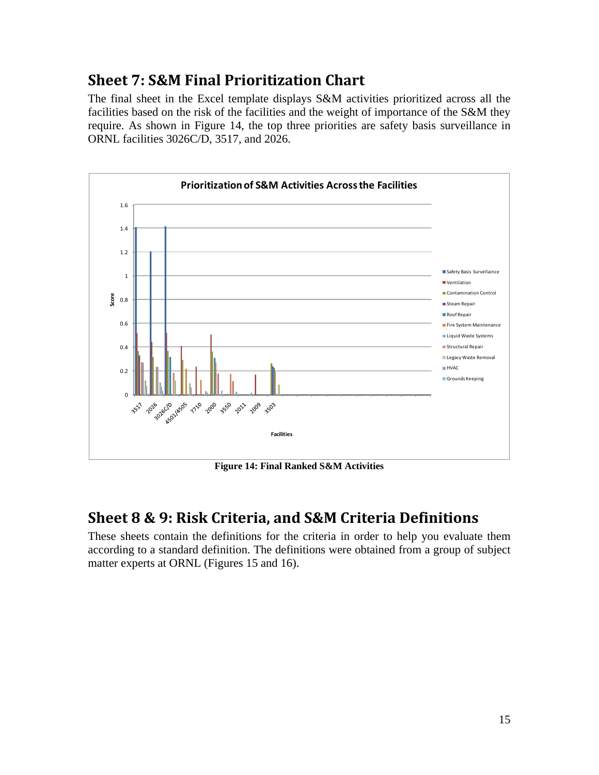# <span id="page-14-0"></span>**Sheet 7: S&M Final Prioritization Chart**

The final sheet in the Excel template displays S&M activities prioritized across all the facilities based on the risk of the facilities and the weight of importance of the S&M they require. As shown in Figure 14, the top three priorities are safety basis surveillance in ORNL facilities 3026C/D, 3517, and 2026.



**Figure 14: Final Ranked S&M Activities**

## <span id="page-14-2"></span><span id="page-14-1"></span>**Sheet 8 & 9: Risk Criteria, and S&M Criteria Definitions**

These sheets contain the definitions for the criteria in order to help you evaluate them according to a standard definition. The definitions were obtained from a group of subject matter experts at ORNL (Figures 15 and 16).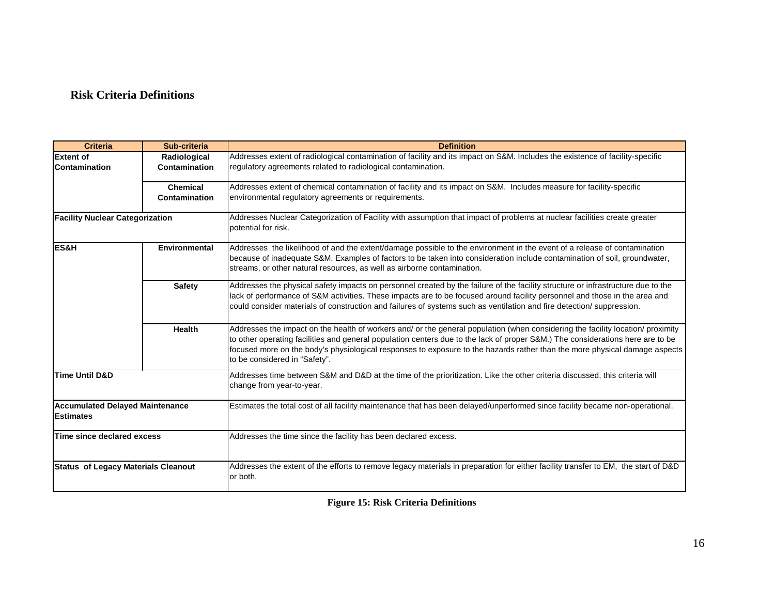### **Risk Criteria Definitions**

| <b>Criteria</b>                                            | Sub-criteria         | <b>Definition</b>                                                                                                                                                                                                                                                                                                                                                                                                                |
|------------------------------------------------------------|----------------------|----------------------------------------------------------------------------------------------------------------------------------------------------------------------------------------------------------------------------------------------------------------------------------------------------------------------------------------------------------------------------------------------------------------------------------|
| <b>Extent of</b>                                           | Radiological         | Addresses extent of radiological contamination of facility and its impact on S&M. Includes the existence of facility-specific                                                                                                                                                                                                                                                                                                    |
| Contamination                                              | Contamination        | regulatory agreements related to radiological contamination.                                                                                                                                                                                                                                                                                                                                                                     |
|                                                            | Chemical             | Addresses extent of chemical contamination of facility and its impact on S&M. Includes measure for facility-specific                                                                                                                                                                                                                                                                                                             |
|                                                            | Contamination        | environmental regulatory agreements or requirements.                                                                                                                                                                                                                                                                                                                                                                             |
| <b>Facility Nuclear Categorization</b>                     |                      | Addresses Nuclear Categorization of Facility with assumption that impact of problems at nuclear facilities create greater<br>potential for risk.                                                                                                                                                                                                                                                                                 |
| ES&H                                                       | <b>Environmental</b> | Addresses the likelihood of and the extent/damage possible to the environment in the event of a release of contamination<br>because of inadequate S&M. Examples of factors to be taken into consideration include contamination of soil, groundwater,<br>streams, or other natural resources, as well as airborne contamination.                                                                                                 |
|                                                            | <b>Safety</b>        | Addresses the physical safety impacts on personnel created by the failure of the facility structure or infrastructure due to the<br>lack of performance of S&M activities. These impacts are to be focused around facility personnel and those in the area and<br>could consider materials of construction and failures of systems such as ventilation and fire detection/suppression.                                           |
|                                                            | Health               | Addresses the impact on the health of workers and/ or the general population (when considering the facility location/ proximity<br>to other operating facilities and general population centers due to the lack of proper S&M.) The considerations here are to be<br>focused more on the body's physiological responses to exposure to the hazards rather than the more physical damage aspects<br>to be considered in "Safety". |
| <b>Time Until D&amp;D</b>                                  |                      | Addresses time between S&M and D&D at the time of the prioritization. Like the other criteria discussed, this criteria will<br>change from year-to-year.                                                                                                                                                                                                                                                                         |
| <b>Accumulated Delayed Maintenance</b><br><b>Estimates</b> |                      | Estimates the total cost of all facility maintenance that has been delayed/unperformed since facility became non-operational.                                                                                                                                                                                                                                                                                                    |
| Time since declared excess                                 |                      | Addresses the time since the facility has been declared excess.                                                                                                                                                                                                                                                                                                                                                                  |
| <b>Status of Legacy Materials Cleanout</b>                 |                      | Addresses the extent of the efforts to remove legacy materials in preparation for either facility transfer to EM, the start of D&D<br>or both.                                                                                                                                                                                                                                                                                   |

**Figure 15: Risk Criteria Definitions**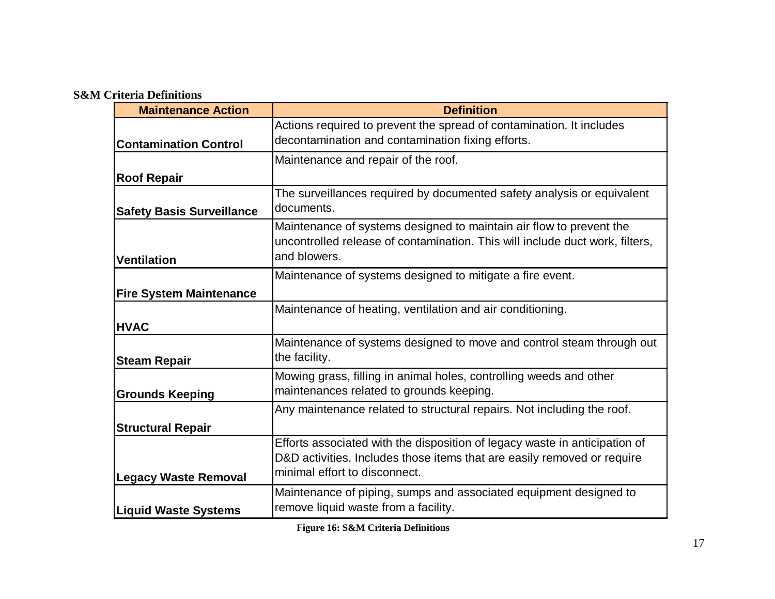### **S&M Criteria Definitions**

| <b>Maintenance Action</b>        | <b>Definition</b>                                                                                                                                                                      |
|----------------------------------|----------------------------------------------------------------------------------------------------------------------------------------------------------------------------------------|
| <b>Contamination Control</b>     | Actions required to prevent the spread of contamination. It includes<br>decontamination and contamination fixing efforts.                                                              |
|                                  | Maintenance and repair of the roof.                                                                                                                                                    |
| <b>Roof Repair</b>               |                                                                                                                                                                                        |
| <b>Safety Basis Surveillance</b> | The surveillances required by documented safety analysis or equivalent<br>documents.                                                                                                   |
| Ventilation                      | Maintenance of systems designed to maintain air flow to prevent the<br>uncontrolled release of contamination. This will include duct work, filters,<br>and blowers.                    |
|                                  | Maintenance of systems designed to mitigate a fire event.                                                                                                                              |
| <b>Fire System Maintenance</b>   |                                                                                                                                                                                        |
| <b>HVAC</b>                      | Maintenance of heating, ventilation and air conditioning.                                                                                                                              |
| <b>Steam Repair</b>              | Maintenance of systems designed to move and control steam through out<br>the facility.                                                                                                 |
| <b>Grounds Keeping</b>           | Mowing grass, filling in animal holes, controlling weeds and other<br>maintenances related to grounds keeping.                                                                         |
|                                  | Any maintenance related to structural repairs. Not including the roof.                                                                                                                 |
| <b>Structural Repair</b>         |                                                                                                                                                                                        |
| <b>Legacy Waste Removal</b>      | Efforts associated with the disposition of legacy waste in anticipation of<br>D&D activities. Includes those items that are easily removed or require<br>minimal effort to disconnect. |
| <b>Liquid Waste Systems</b>      | Maintenance of piping, sumps and associated equipment designed to<br>remove liquid waste from a facility.                                                                              |

**Figure 16: S&M Criteria Definitions**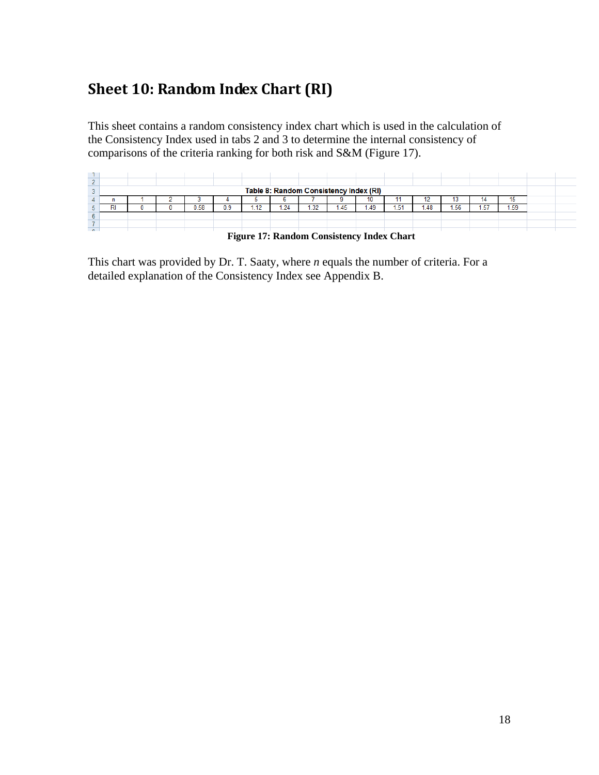# <span id="page-17-0"></span>**Sheet 10: Random Index Chart (RI)**

This sheet contains a random consistency index chart which is used in the calculation of the Consistency Index used in tabs 2 and 3 to determine the internal consistency of comparisons of the criteria ranking for both risk and S&M (Figure 17).

|        | Table 8: Random Consistency Index (RI) |  |  |      |     |   |     |      |      |      |      |      |      |      |      |  |
|--------|----------------------------------------|--|--|------|-----|---|-----|------|------|------|------|------|------|------|------|--|
|        |                                        |  |  |      |     |   |     |      |      | 10   |      |      |      | 14   |      |  |
|        |                                        |  |  | 0.58 | 0.9 | . | .24 | 1.32 | 1.45 | 0.49 | 1.51 | 1.48 | 1.56 | 1.57 | 1.59 |  |
|        |                                        |  |  |      |     |   |     |      |      |      |      |      |      |      |      |  |
|        |                                        |  |  |      |     |   |     |      |      |      |      |      |      |      |      |  |
| $\sim$ |                                        |  |  |      |     |   |     |      |      |      |      |      |      |      |      |  |

<span id="page-17-1"></span> **Figure 17: Random Consistency Index Chart**

This chart was provided by Dr. T. Saaty, where *n* equals the number of criteria. For a detailed explanation of the Consistency Index see Appendix B.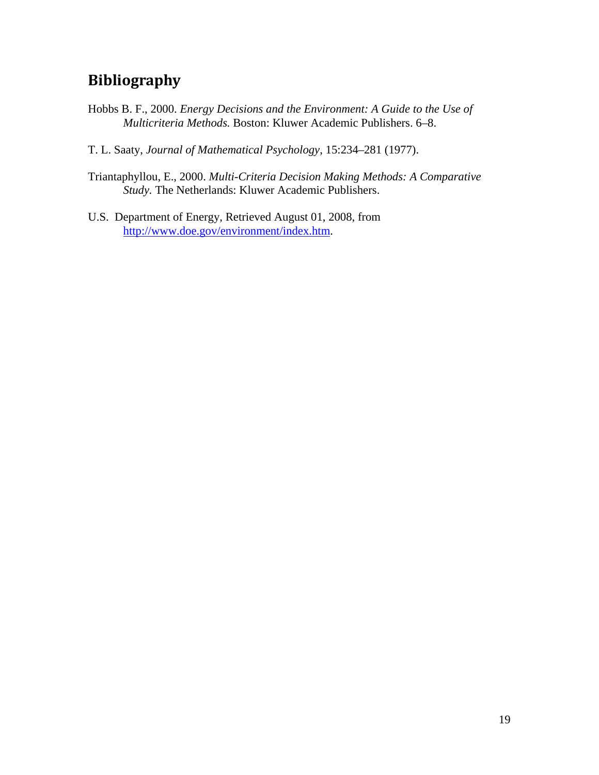# <span id="page-18-0"></span>**Bibliography**

- Hobbs B. F., 2000. *Energy Decisions and the Environment: A Guide to the Use of Multicriteria Methods.* Boston: Kluwer Academic Publishers. 6–8.
- T. L. Saaty, *Journal of Mathematical Psychology*, 15:234–281 (1977).
- Triantaphyllou, E., 2000. *Multi-Criteria Decision Making Methods: A Comparative Study.* The Netherlands: Kluwer Academic Publishers.
- U.S. Department of Energy, Retrieved August 01, 2008, from [http://www.doe.gov/environment/index.htm.](http://www.doe.gov/environment/index.htm)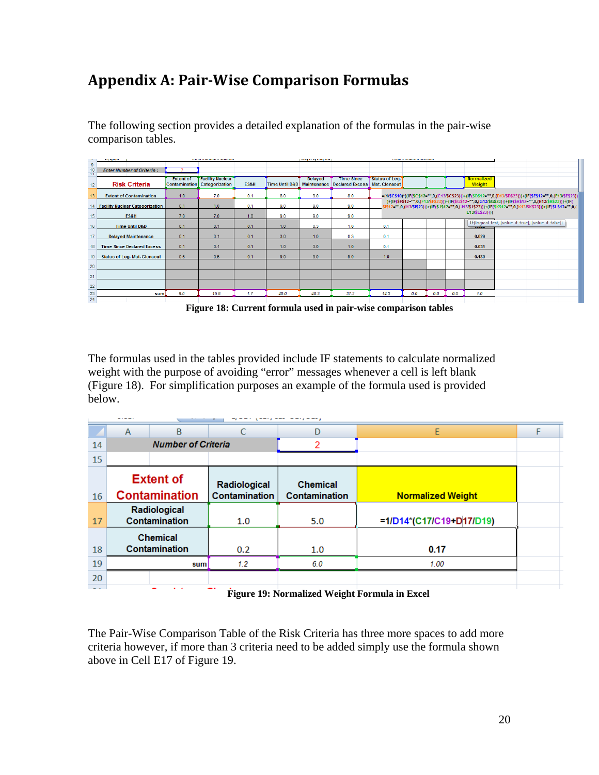# <span id="page-19-0"></span>**Appendix A: Pair-Wise Comparison Formulas**

The following section provides a detailed explanation of the formulas in the pair-wise comparison tables.

|                 | and support<br><b>REASONATION SERVICES PRODUCTS</b> |                  |                         |      | parager springers.<br><b>TELEVISION WINDOW PAINTING</b> |                |                             |                |     |     |     |                 |                                                                                                                                                                                                                          |  |
|-----------------|-----------------------------------------------------|------------------|-------------------------|------|---------------------------------------------------------|----------------|-----------------------------|----------------|-----|-----|-----|-----------------|--------------------------------------------------------------------------------------------------------------------------------------------------------------------------------------------------------------------------|--|
| 9               |                                                     |                  |                         |      |                                                         |                |                             |                |     |     |     |                 |                                                                                                                                                                                                                          |  |
| 10<br>TT        | <b>Enter Number of Criteria:</b>                    |                  |                         |      |                                                         |                |                             |                |     |     |     |                 |                                                                                                                                                                                                                          |  |
|                 |                                                     | <b>Extent of</b> | <b>Facility Nuclear</b> |      |                                                         | <b>Delayed</b> | <b>Time Since</b>           | Status of Leg. |     |     |     | Normalized      |                                                                                                                                                                                                                          |  |
| 12 <sup>2</sup> | <b>Risk Criteria</b>                                | Contamination    | Categorization          | ES&H | Time Until D&D                                          |                | Maintenance Declared Excess | Mat. Clenaout  |     |     |     | Weight          |                                                                                                                                                                                                                          |  |
| 13              | <b>Extent of Contamination</b>                      | 1.0              | 7.0                     | 0.1  | 8.0                                                     | 9.0            | 8.0                         |                |     |     |     |                 | =(1/\$C\$10)*((IF(\$C\$12="",0,(C13/\$C\$23)))+(IF(\$D\$12="",0,(D13/\$D\$23)))+(IF(\$E\$12="",0,(E13/\$E\$23))                                                                                                          |  |
| 14              | <b>Facility Nuclear Categorization</b>              | 0.1              | 1.0                     | 0.1  | 9.0                                                     | 9.0            | 9.0                         |                |     |     |     |                 | )+(IF(\$F\$12="",0,(F13/\$F\$23)))+(IF(\$G\$12="",0,(G13/\$G\$23)))+(IF(\$H\$12="",0,(H13/\$H\$23)))+(IF(<br>2="",0,(l13/\$I\$23)))+(IF(\$J\$12="",0,(J13/\$J\$23)))+(IF(\$K\$12="",0,(K13/\$K\$23)))+(IF(\$L\$12="",0,( |  |
| 15              | ES&H                                                | 7.0              | 7.0                     | 1.0  | 9.0                                                     | 9.0            | 9.0                         |                |     |     |     | L13/\$L\$23)))) |                                                                                                                                                                                                                          |  |
| 16              | <b>Time Until D&amp;D</b>                           | 0.1              | 0.1                     | 0.1  | 1.0                                                     | 0.3            | 1.0                         | 0.1            |     |     |     | 11.312.2        | IF(logical_test, [value_if_true], [value_if_false])                                                                                                                                                                      |  |
| 17              | <b>Delayed Maintenance</b>                          | 0.1              | 0.1                     | 0.1  | 3.0                                                     | 1.0            | 0.3                         | 0.1            |     |     |     | 0.029           |                                                                                                                                                                                                                          |  |
| 18              | <b>Time Since Declared Excess</b>                   | 0.1              | 0.1                     | 0.1  | 1.0                                                     | 3.0            | 1.0                         | 0.1            |     |     |     | 0.031           |                                                                                                                                                                                                                          |  |
| 19              | <b>Status of Leg. Mat. Clenaout</b>                 | 0.5              | 0.5                     | 0.1  | 9.0                                                     | 9.0            | 9.0                         | 1.0            |     |     |     | 0.130           |                                                                                                                                                                                                                          |  |
| 20              |                                                     |                  |                         |      |                                                         |                |                             |                |     |     |     |                 |                                                                                                                                                                                                                          |  |
| 21              |                                                     |                  |                         |      |                                                         |                |                             |                |     |     |     |                 |                                                                                                                                                                                                                          |  |
| 22              |                                                     |                  |                         |      |                                                         |                |                             |                |     |     |     |                 |                                                                                                                                                                                                                          |  |
| 23              | sum                                                 | 9.0              | 15.8                    | 1.7  | 40.0                                                    | 40.3           | 37.3                        | 14.3           | 0.0 | 0.0 | 0.0 | 1.0             |                                                                                                                                                                                                                          |  |
| 24              |                                                     |                  |                         |      |                                                         |                |                             |                |     |     |     |                 |                                                                                                                                                                                                                          |  |

<span id="page-19-1"></span> **Figure 18: Current formula used in pair-wise comparison tables**

The formulas used in the tables provided include IF statements to calculate normalized weight with the purpose of avoiding "error" messages whenever a cell is left blank (Figure 18). For simplification purposes an example of the formula used is provided below.

|               | B<br>A                                   |                           | C                             | D                                | E                        |  |  |  |  |  |  |  |
|---------------|------------------------------------------|---------------------------|-------------------------------|----------------------------------|--------------------------|--|--|--|--|--|--|--|
| 14            |                                          | <b>Number of Criteria</b> |                               | 2                                |                          |  |  |  |  |  |  |  |
| 15            |                                          |                           |                               |                                  |                          |  |  |  |  |  |  |  |
| 16            | <b>Extent of</b><br><b>Contamination</b> |                           | Radiological<br>Contamination | <b>Chemical</b><br>Contamination | <b>Normalized Weight</b> |  |  |  |  |  |  |  |
| 17            | Radiological<br>Contamination            |                           | 1.0                           | 5.0                              | =1/D14*(C17/C19+D17/D19) |  |  |  |  |  |  |  |
|               | <b>Chemical</b>                          |                           |                               |                                  |                          |  |  |  |  |  |  |  |
| 18            | Contamination                            |                           | 0.2                           | 1.0                              | 0.17                     |  |  |  |  |  |  |  |
| 19            |                                          | sum                       | 1.2                           | 6.0                              | 1.00                     |  |  |  |  |  |  |  |
| 20            |                                          |                           |                               |                                  |                          |  |  |  |  |  |  |  |
| $\sim$ $\sim$ |                                          | $\sim$                    | --                            |                                  |                          |  |  |  |  |  |  |  |

<span id="page-19-2"></span> **Figure 19: Normalized Weight Formula in Excel**

The Pair-Wise Comparison Table of the Risk Criteria has three more spaces to add more criteria however, if more than 3 criteria need to be added simply use the formula shown above in Cell E17 of Figure 19.